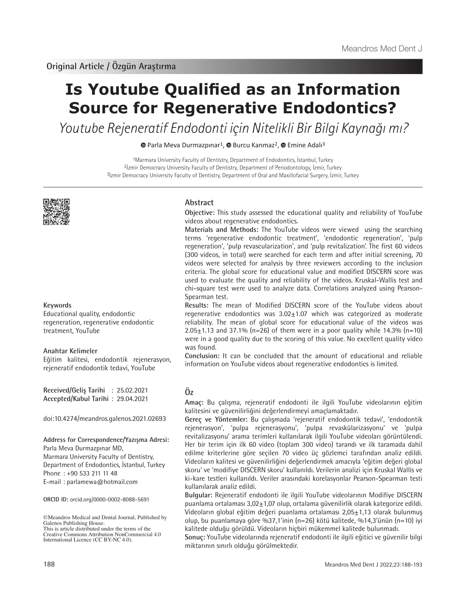# **Is Youtube Qualified as an Information Source for Regenerative Endodontics?**

Youtube Rejeneratif Endodonti için Nitelikli Bir Bilgi Kaynağı mı?

 $\bullet$ Parla Meva Durmazpınar<sup>1</sup>,  $\bullet$  Burcu Kanmaz<sup>2</sup>,  $\bullet$  Emine Adalı<sup>3</sup>

1Marmara University Faculty of Dentistry, Department of Endodontics, İstanbul, Turkey 2İzmir Democracy University Faculty of Dentistry, Department of Periodontology, İzmir, Turkey 3İzmir Democracy University Faculty of Dentistry, Department of Oral and Maxillofacial Surgery, İzmir, Turkey



## **Keywords**

Educational quality, endodontic regeneration, regenerative endodontic treatment, YouTube

## **Anahtar Kelimeler**

Eğitim kalitesi, endodontik rejenerasyon, rejeneratif endodontik tedavi, YouTube

**Received/Geliş Tarihi** : 25.02.2021 **Accepted/Kabul Tarihi** : 29.04.2021

doi:10.4274/meandros.galenos.2021.02693

#### **Address for Correspondence/Yazışma Adresi:**

Parla Meva Durmazpınar MD, Marmara University Faculty of Dentistry, Department of Endodontics, İstanbul, Turkey Phone : +90 533 211 11 48 E-mail : parlamewa@hotmail.com

**ORCID ID:** orcid.org/0000-0002-8088-5691

©Meandros Medical and Dental Journal, Published by Galenos Publishing House. This is article distributed under the terms of the

Creative Commons Attribution NonCommercial 4.0 International Licence (CC BY-NC 4.0).

## **Abstract**

**Objective:** This study assessed the educational quality and reliability of YouTube videos about regenerative endodontics.

**Materials and Methods:** The YouTube videos were viewed using the searching terms 'regenerative endodontic treatment', 'endodontic regeneration', 'pulp regeneration', 'pulp revascularization', and 'pulp revitalization'. The first 60 videos (300 videos, in total) were searched for each term and after initial screening, 70 videos were selected for analysis by three reviewers according to the inclusion criteria. The global score for educational value and modified DISCERN score was used to evaluate the quality and reliability of the videos. Kruskal-Wallis test and chi-square test were used to analyze data. Correlations analyzed using Pearson-Spearman test.

**Results:** The mean of Modified DISCERN score of the YouTube videos about regenerative endodontics was  $3.02 \pm 1.07$  which was categorized as moderate reliability. The mean of global score for educational value of the videos was  $2.05 \pm 1.13$  and 37.1% (n=26) of them were in a poor quality while 14.3% (n=10) were in a good quality due to the scoring of this value. No excellent quality video was found.

**Conclusion:** It can be concluded that the amount of educational and reliable information on YouTube videos about regenerative endodontics is limited.

# **Öz**

**Amaç:** Bu çalışma, rejeneratif endodonti ile ilgili YouTube videolarının eğitim kalitesini ve güvenilirliğini değerlendirmeyi amaçlamaktadır.

**Gereç ve Yöntemler:** Bu çalışmada 'rejeneratif endodontik tedavi', 'endodontik rejenerasyon', 'pulpa rejenerasyonu', 'pulpa revaskülarizasyonu' ve 'pulpa revitalizasyonu' arama terimleri kullanılarak ilgili YouTube videoları görüntülendi. Her bir terim için ilk 60 video (toplam 300 video) tarandı ve ilk taramada dahil edilme kriterlerine göre seçilen 70 video üç gözlemci tarafından analiz edildi. Videoların kalitesi ve güvenilirliğini değerlendirmek amacıyla 'eğitim değeri global skoru' ve 'modifiye DISCERN skoru' kullanıldı. Verilerin analizi için Kruskal Wallis ve ki-kare testleri kullanıldı. Veriler arasındaki korelasyonlar Pearson-Spearman testi kullanılarak analiz edildi.

**Bulgular:** Rejeneratif endodonti ile ilgili YouTube videolarının Modifiye DISCERN puanlama ortalaması  $3.02 \pm 1.07$  olup, ortalama güvenilirlik olarak kategorize edildi. Videoların global eğitim değeri puanlama ortalaması 2,05±1,13 olarak bulunmuş olup, bu puanlamaya göre %37,1'inin (n=26) kötü kalitede, %14,3'ünün (n=10) iyi kalitede olduğu görüldü. Videoların hiçbiri mükemmel kalitede bulunmadı.

**Sonuç:** YouTube videolarında rejeneratif endodonti ile ilgili eğitici ve güvenilir bilgi miktarının sınırlı olduğu görülmektedir.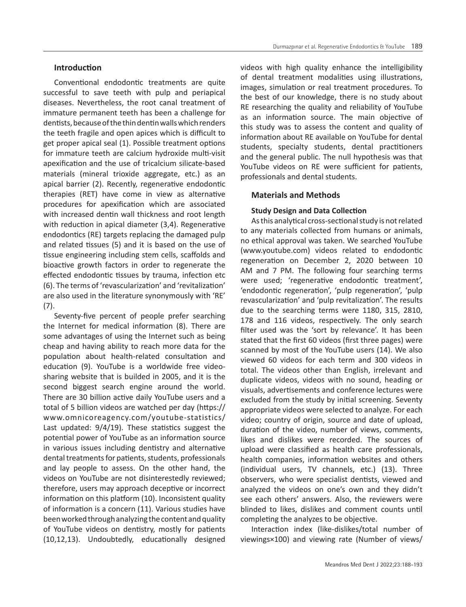## **Introduction**

Conventional endodontic treatments are quite successful to save teeth with pulp and periapical diseases. Nevertheless, the root canal treatment of immature permanent teeth has been a challenge for dentists, because of the thin dentin walls which renders the teeth fragile and open apices which is difficult to get proper apical seal (1). Possible treatment options for immature teeth are calcium hydroxide multi-visit apexification and the use of tricalcium silicate-based materials (mineral trioxide aggregate, etc.) as an apical barrier (2). Recently, regenerative endodontic therapies (RET) have come in view as alternative procedures for apexification which are associated with increased dentin wall thickness and root length with reduction in apical diameter (3,4). Regenerative endodontics (RE) targets replacing the damaged pulp and related tissues (5) and it is based on the use of tissue engineering including stem cells, scaffolds and bioactive growth factors in order to regenerate the effected endodontic tissues by trauma, infection etc (6). The terms of 'revascularization' and 'revitalization' are also used in the literature synonymously with 'RE' (7).

Seventy-five percent of people prefer searching the Internet for medical information (8). There are some advantages of using the Internet such as being cheap and having ability to reach more data for the population about health-related consultation and education (9). YouTube is a worldwide free videosharing website that is builded in 2005, and it is the second biggest search engine around the world. There are 30 billion active daily YouTube users and a total of 5 billion videos are watched per day (https:// www.omnicoreagency.com/youtube-statistics/ Last updated: 9/4/19). These statistics suggest the potential power of YouTube as an information source in various issues including dentistry and alternative dental treatments for patients, students, professionals and lay people to assess. On the other hand, the videos on YouTube are not disinterestedly reviewed; therefore, users may approach deceptive or incorrect information on this platform (10). Inconsistent quality of information is a concern (11). Various studies have been worked through analyzing the content and quality of YouTube videos on dentistry, mostly for patients (10,12,13). Undoubtedly, educationally designed videos with high quality enhance the intelligibility of dental treatment modalities using illustrations, images, simulation or real treatment procedures. To the best of our knowledge, there is no study about RE researching the quality and reliability of YouTube as an information source. The main objective of this study was to assess the content and quality of information about RE available on YouTube for dental students, specialty students, dental practitioners and the general public. The null hypothesis was that YouTube videos on RE were sufficient for patients, professionals and dental students.

## **Materials and Methods**

## **Study Design and Data Collection**

As this analytical cross‐sectional study is not related to any materials collected from humans or animals, no ethical approval was taken. We searched YouTube (www.youtube.com) videos related to endodontic regeneration on December 2, 2020 between 10 AM and 7 PM. The following four searching terms were used; 'regenerative endodontic treatment', 'endodontic regeneration', 'pulp regeneration', 'pulp revascularization' and 'pulp revitalization'. The results due to the searching terms were 1180, 315, 2810, 178 and 116 videos, respectively. The only search filter used was the 'sort by relevance'. It has been stated that the first 60 videos (first three pages) were scanned by most of the YouTube users (14). We also viewed 60 videos for each term and 300 videos in total. The videos other than English, irrelevant and duplicate videos, videos with no sound, heading or visuals, advertisements and conference lectures were excluded from the study by initial screening. Seventy appropriate videos were selected to analyze. For each video; country of origin, source and date of upload, duration of the video, number of views, comments, likes and dislikes were recorded. The sources of upload were classified as health care professionals, health companies, information websites and others (individual users, TV channels, etc.) (13). Three observers, who were specialist dentists, viewed and analyzed the videos on one's own and they didn't see each others' answers. Also, the reviewers were blinded to likes, dislikes and comment counts until completing the analyzes to be objective.

Interaction index (like-dislikes/total number of viewings×100) and viewing rate (Number of views/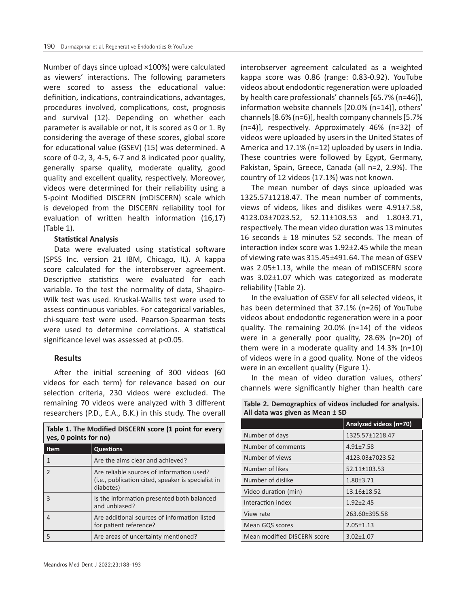Number of days since upload ×100%) were calculated as viewers' interactions. The following parameters were scored to assess the educational value: definition, indications, contraindications, advantages, procedures involved, complications, cost, prognosis and survival (12). Depending on whether each parameter is available or not, it is scored as 0 or 1. By considering the average of these scores, global score for educational value (GSEV) (15) was determined. A score of 0-2, 3, 4-5, 6-7 and 8 indicated poor quality, generally sparse quality, moderate quality, good quality and excellent quality, respectively. Moreover, videos were determined for their reliability using a 5-point Modified DISCERN (mDISCERN) scale which is developed from the DISCERN reliability tool for evaluation of written health information (16,17) (Table 1).

## **Statistical Analysis**

Data were evaluated using statistical software (SPSS Inc. version 21 IBM, Chicago, IL). A kappa score calculated for the interobserver agreement. Descriptive statistics were evaluated for each variable. To the test the normality of data, Shapiro-Wilk test was used. Kruskal-Wallis test were used to assess continuous variables. For categorical variables, chi-square test were used. Pearson-Spearman tests were used to determine correlations. A statistical significance level was assessed at p<0.05.

## **Results**

After the initial screening of 300 videos (60 videos for each term) for relevance based on our selection criteria, 230 videos were excluded. The remaining 70 videos were analyzed with 3 different researchers (P.D., E.A., B.K.) in this study. The overall

| Table 1. The Modified DISCERN score (1 point for every<br>yes, 0 points for no) |                                                                                                              |  |  |  |
|---------------------------------------------------------------------------------|--------------------------------------------------------------------------------------------------------------|--|--|--|
| <b>Item</b>                                                                     | <b>Questions</b>                                                                                             |  |  |  |
| 1                                                                               | Are the aims clear and achieved?                                                                             |  |  |  |
| $\overline{\phantom{0}}$                                                        | Are reliable sources of information used?<br>(i.e., publication cited, speaker is specialist in<br>diabetes) |  |  |  |
| $\overline{\mathcal{L}}$                                                        | Is the information presented both balanced<br>and unbiased?                                                  |  |  |  |
| 4                                                                               | Are additional sources of information listed<br>for patient reference?                                       |  |  |  |
| 5                                                                               | Are areas of uncertainty mentioned?                                                                          |  |  |  |

interobserver agreement calculated as a weighted kappa score was 0.86 (range: 0.83-0.92). YouTube videos about endodontic regeneration were uploaded by health care professionals' channels [65.7% (n=46)], information website channels [20.0% (n=14)], others' channels [8.6% (n=6)], health company channels [5.7% (n=4)], respectively. Approximately 46% (n=32) of videos were uploaded by users in the United States of America and 17.1% (n=12) uploaded by users in India. These countries were followed by Egypt, Germany, Pakistan, Spain, Greece, Canada (all n=2, 2.9%). The country of 12 videos (17.1%) was not known.

The mean number of days since uploaded was 1325.57±1218.47. The mean number of comments, views of videos, likes and dislikes were 4.91±7.58, 4123.03±7023.52, 52.11±103.53 and 1.80±3.71, respectively. The mean video duration was 13 minutes 16 seconds ± 18 minutes 52 seconds. The mean of interaction index score was 1.92±2.45 while the mean of viewing rate was 315.45±491.64. The mean of GSEV was 2.05±1.13, while the mean of mDISCERN score was 3.02±1.07 which was categorized as moderate reliability (Table 2).

In the evaluation of GSEV for all selected videos, it has been determined that 37.1% (n=26) of YouTube videos about endodontic regeneration were in a poor quality. The remaining 20.0% (n=14) of the videos were in a generally poor quality, 28.6% (n=20) of them were in a moderate quality and 14.3% (n=10) of videos were in a good quality. None of the videos were in an excellent quality (Figure 1).

In the mean of video duration values, others' channels were significantly higher than health care

| All data was given as Mean ± SD |                        |  |  |  |
|---------------------------------|------------------------|--|--|--|
|                                 | Analyzed videos (n=70) |  |  |  |
| Number of days                  | 1325.57±1218.47        |  |  |  |
| Number of comments              | $4.91 + 7.58$          |  |  |  |
| Number of views                 | 4123.03±7023.52        |  |  |  |
| Number of likes                 | 52.11±103.53           |  |  |  |
| Number of dislike               | $1.80 \pm 3.71$        |  |  |  |
| Video duration (min)            | 13.16±18.52            |  |  |  |
| Interaction index               | $1.92 \pm 2.45$        |  |  |  |
| View rate                       | 263.60±395.58          |  |  |  |
| Mean GQS scores                 | $2.05 \pm 1.13$        |  |  |  |
| Mean modified DISCERN score     | $3.02 \pm 1.07$        |  |  |  |

| Table 2. Demographics of videos included for analysis. |  |
|--------------------------------------------------------|--|
| All data was given as Mean ± SD                        |  |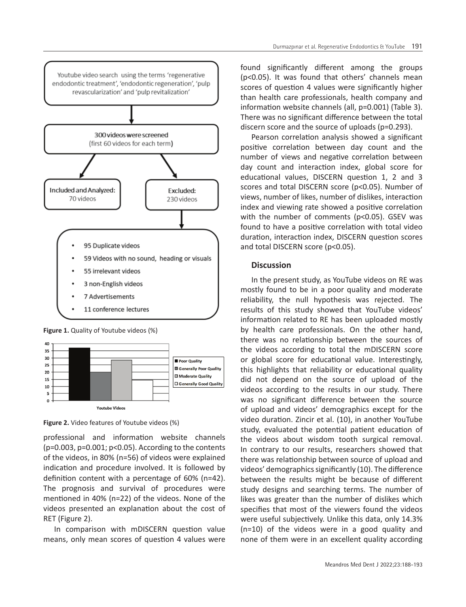

**Figure 1.** Quality of Youtube videos (%)



**Figure 2.** Video features of Youtube videos (%)

professional and information website channels (p=0.003, p=0.001; p<0.05). According to the contents of the videos, in 80% (n=56) of videos were explained indication and procedure involved. It is followed by definition content with a percentage of 60% (n=42). The prognosis and survival of procedures were mentioned in 40% (n=22) of the videos. None of the videos presented an explanation about the cost of RET (Figure 2).

In comparison with mDISCERN question value means, only mean scores of question 4 values were

found significantly different among the groups (p<0.05). It was found that others' channels mean scores of question 4 values were significantly higher than health care professionals, health company and information website channels (all, p=0.001) (Table 3). There was no significant difference between the total discern score and the source of uploads (p=0.293).

Pearson correlation analysis showed a significant positive correlation between day count and the number of views and negative correlation between day count and interaction index, global score for educational values, DISCERN question 1, 2 and 3 scores and total DISCERN score (p<0.05). Number of views, number of likes, number of dislikes, interaction index and viewing rate showed a positive correlation with the number of comments (p<0.05). GSEV was found to have a positive correlation with total video duration, interaction index, DISCERN question scores and total DISCERN score (p<0.05).

## **Discussion**

In the present study, as YouTube videos on RE was mostly found to be in a poor quality and moderate reliability, the null hypothesis was rejected. The results of this study showed that YouTube videos' information related to RE has been uploaded mostly by health care professionals. On the other hand, there was no relationship between the sources of the videos according to total the mDISCERN score or global score for educational value. Interestingly, this highlights that reliability or educational quality did not depend on the source of upload of the videos according to the results in our study. There was no significant difference between the source of upload and videos' demographics except for the video duration. Zincir et al. (10), in another YouTube study, evaluated the potential patient education of the videos about wisdom tooth surgical removal. In contrary to our results, researchers showed that there was relationship between source of upload and videos' demographics significantly (10). The difference between the results might be because of different study designs and searching terms. The number of likes was greater than the number of dislikes which specifies that most of the viewers found the videos were useful subjectively. Unlike this data, only 14.3% (n=10) of the videos were in a good quality and none of them were in an excellent quality according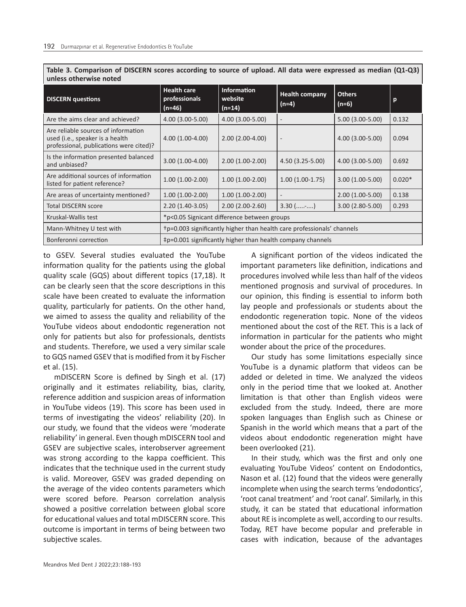| unless otherwise noted                                                                                            |                                                                        |                                           |                                  |                        |          |  |  |  |
|-------------------------------------------------------------------------------------------------------------------|------------------------------------------------------------------------|-------------------------------------------|----------------------------------|------------------------|----------|--|--|--|
| <b>DISCERN</b> questions                                                                                          | <b>Health care</b><br>professionals<br>$(n=46)$                        | <b>Information</b><br>website<br>$(n=14)$ | <b>Health company</b><br>$(n=4)$ | <b>Others</b><br>(n=6) | p        |  |  |  |
| Are the aims clear and achieved?                                                                                  | 4.00 (3.00-5.00)                                                       | 4.00 (3.00-5.00)                          |                                  | $5.00(3.00-5.00)$      | 0.132    |  |  |  |
| Are reliable sources of information<br>used (i.e., speaker is a health<br>professional, publications were cited)? | $4.00(1.00-4.00)$                                                      | $2.00(2.00-4.00)$                         | $\qquad \qquad \blacksquare$     | $4.00(3.00-5.00)$      | 0.094    |  |  |  |
| Is the information presented balanced<br>and unbiased?                                                            | $3.00(1.00-4.00)$                                                      | $2.00(1.00-2.00)$                         | $4.50(3.25-5.00)$                | $4.00(3.00-5.00)$      | 0.692    |  |  |  |
| Are additional sources of information<br>listed for patient reference?                                            | $1.00(1.00-2.00)$                                                      | $1.00(1.00-2.00)$                         | $1.00(1.00-1.75)$                | $3.00(1.00-5.00)$      | $0.020*$ |  |  |  |
| Are areas of uncertainty mentioned?                                                                               | $1.00(1.00-2.00)$                                                      | $1.00(1.00-2.00)$                         | $\qquad \qquad -$                | $2.00(1.00-5.00)$      | 0.138    |  |  |  |
| <b>Total DISCERN score</b>                                                                                        | $2.20(1.40-3.05)$                                                      | $2.00(2.00-2.60)$                         | $3.30$ (-)                       | $3.00(2.80-5.00)$      | 0.293    |  |  |  |
| Kruskal-Wallis test                                                                                               | *p<0.05 Signicant difference between groups                            |                                           |                                  |                        |          |  |  |  |
| Mann-Whitney U test with                                                                                          | +p=0.003 significantly higher than health care professionals' channels |                                           |                                  |                        |          |  |  |  |
| Bonferonni correction                                                                                             | ‡p=0.001 significantly higher than health company channels             |                                           |                                  |                        |          |  |  |  |

**Table 3. Comparison of DISCERN scores according to source of upload. All data were expressed as median (Q1-Q3)** 

to GSEV. Several studies evaluated the YouTube information quality for the patients using the global quality scale (GQS) about different topics (17,18). It can be clearly seen that the score descriptions in this scale have been created to evaluate the information quality, particularly for patients. On the other hand, we aimed to assess the quality and reliability of the YouTube videos about endodontic regeneration not only for patients but also for professionals, dentists and students. Therefore, we used a very similar scale to GQS named GSEV that is modified from it by Fischer et al. (15).

mDISCERN Score is defined by Singh et al. (17) originally and it estimates reliability, bias, clarity, reference addition and suspicion areas of information in YouTube videos (19). This score has been used in terms of investigating the videos' reliability (20). In our study, we found that the videos were 'moderate reliability' in general. Even though mDISCERN tool and GSEV are subjective scales, interobserver agreement was strong according to the kappa coefficient. This indicates that the technique used in the current study is valid. Moreover, GSEV was graded depending on the average of the video contents parameters which were scored before. Pearson correlation analysis showed a positive correlation between global score for educational values and total mDISCERN score. This outcome is important in terms of being between two subjective scales.

A significant portion of the videos indicated the important parameters like definition, indications and procedures involved while less than half of the videos mentioned prognosis and survival of procedures. In our opinion, this finding is essential to inform both lay people and professionals or students about the endodontic regeneration topic. None of the videos mentioned about the cost of the RET. This is a lack of information in particular for the patients who might wonder about the price of the procedures.

Our study has some limitations especially since YouTube is a dynamic platform that videos can be added or deleted in time. We analyzed the videos only in the period time that we looked at. Another limitation is that other than English videos were excluded from the study. Indeed, there are more spoken languages than English such as Chinese or Spanish in the world which means that a part of the videos about endodontic regeneration might have been overlooked (21).

In their study, which was the first and only one evaluating YouTube Videos' content on Endodontics, Nason et al. (12) found that the videos were generally incomplete when using the search terms 'endodontics', 'root canal treatment' and 'root canal'. Similarly, in this study, it can be stated that educational information about RE is incomplete as well, according to our results. Today, RET have become popular and preferable in cases with indication, because of the advantages